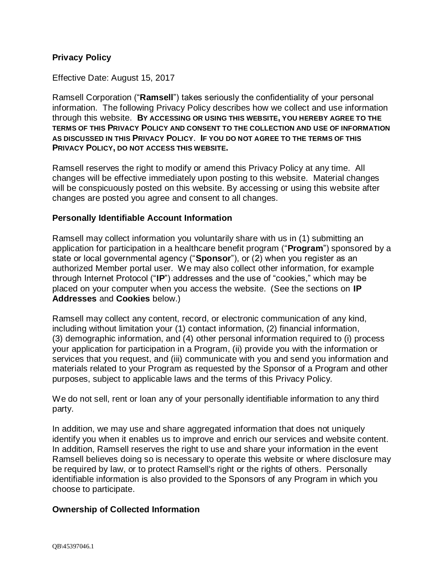#### **Privacy Policy**

Effective Date: August 15, 2017

Ramsell Corporation ("**Ramsell**") takes seriously the confidentiality of your personal information. The following Privacy Policy describes how we collect and use information through this website. **BY ACCESSING OR USING THIS WEBSITE, YOU HEREBY AGREE TO THE TERMS OF THIS PRIVACY POLICY AND CONSENT TO THE COLLECTION AND USE OF INFORMATION AS DISCUSSED IN THIS PRIVACY POLICY**. **IF YOU DO NOT AGREE TO THE TERMS OF THIS PRIVACY POLICY, DO NOT ACCESS THIS WEBSITE.**

Ramsell reserves the right to modify or amend this Privacy Policy at any time. All changes will be effective immediately upon posting to this website. Material changes will be conspicuously posted on this website. By accessing or using this website after changes are posted you agree and consent to all changes.

#### **Personally Identifiable Account Information**

Ramsell may collect information you voluntarily share with us in (1) submitting an application for participation in a healthcare benefit program ("**Program**") sponsored by a state or local governmental agency ("**Sponsor**"), or (2) when you register as an authorized Member portal user. We may also collect other information, for example through Internet Protocol ("**IP**") addresses and the use of "cookies," which may be placed on your computer when you access the website. (See the sections on **IP Addresses** and **Cookies** below.)

Ramsell may collect any content, record, or electronic communication of any kind, including without limitation your (1) contact information, (2) financial information, (3) demographic information, and (4) other personal information required to (i) process your application for participation in a Program, (ii) provide you with the information or services that you request, and (iii) communicate with you and send you information and materials related to your Program as requested by the Sponsor of a Program and other purposes, subject to applicable laws and the terms of this Privacy Policy.

We do not sell, rent or loan any of your personally identifiable information to any third party.

In addition, we may use and share aggregated information that does not uniquely identify you when it enables us to improve and enrich our services and website content. In addition, Ramsell reserves the right to use and share your information in the event Ramsell believes doing so is necessary to operate this website or where disclosure may be required by law, or to protect Ramsell's right or the rights of others. Personally identifiable information is also provided to the Sponsors of any Program in which you choose to participate.

#### **Ownership of Collected Information**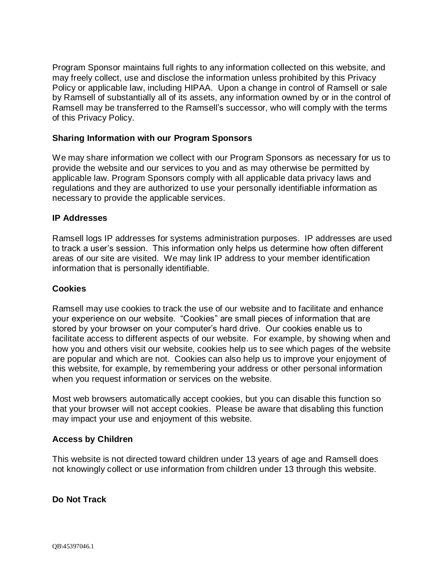Program Sponsor maintains full rights to any information collected on this website, and may freely collect, use and disclose the information unless prohibited by this Privacy Policy or applicable law, including HIPAA. Upon a change in control of Ramsell or sale by Ramsell of substantially all of its assets, any information owned by or in the control of Ramsell may be transferred to the Ramsell's successor, who will comply with the terms of this Privacy Policy.

## **Sharing Information with our Program Sponsors**

We may share information we collect with our Program Sponsors as necessary for us to provide the website and our services to you and as may otherwise be permitted by applicable law. Program Sponsors comply with all applicable data privacy laws and regulations and they are authorized to use your personally identifiable information as necessary to provide the applicable services.

### **IP Addresses**

Ramsell logs IP addresses for systems administration purposes. IP addresses are used to track a user's session. This information only helps us determine how often different areas of our site are visited. We may link IP address to your member identification information that is personally identifiable.

## **Cookies**

Ramsell may use cookies to track the use of our website and to facilitate and enhance your experience on our website. "Cookies" are small pieces of information that are stored by your browser on your computer's hard drive. Our cookies enable us to facilitate access to different aspects of our website. For example, by showing when and how you and others visit our website, cookies help us to see which pages of the website are popular and which are not. Cookies can also help us to improve your enjoyment of this website, for example, by remembering your address or other personal information when you request information or services on the website.

Most web browsers automatically accept cookies, but you can disable this function so that your browser will not accept cookies. Please be aware that disabling this function may impact your use and enjoyment of this website.

### **Access by Children**

This website is not directed toward children under 13 years of age and Ramsell does not knowingly collect or use information from children under 13 through this website.

### **Do Not Track**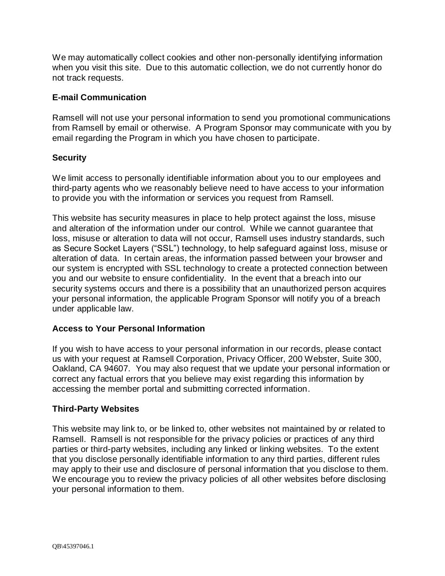We may automatically collect cookies and other non-personally identifying information when you visit this site. Due to this automatic collection, we do not currently honor do not track requests.

### **E-mail Communication**

Ramsell will not use your personal information to send you promotional communications from Ramsell by email or otherwise. A Program Sponsor may communicate with you by email regarding the Program in which you have chosen to participate.

### **Security**

We limit access to personally identifiable information about you to our employees and third-party agents who we reasonably believe need to have access to your information to provide you with the information or services you request from Ramsell.

This website has security measures in place to help protect against the loss, misuse and alteration of the information under our control. While we cannot guarantee that loss, misuse or alteration to data will not occur, Ramsell uses industry standards, such as Secure Socket Layers ("SSL") technology, to help safeguard against loss, misuse or alteration of data. In certain areas, the information passed between your browser and our system is encrypted with SSL technology to create a protected connection between you and our website to ensure confidentiality. In the event that a breach into our security systems occurs and there is a possibility that an unauthorized person acquires your personal information, the applicable Program Sponsor will notify you of a breach under applicable law.

### **Access to Your Personal Information**

If you wish to have access to your personal information in our records, please contact us with your request at Ramsell Corporation, Privacy Officer, 200 Webster, Suite 300, Oakland, CA 94607. You may also request that we update your personal information or correct any factual errors that you believe may exist regarding this information by accessing the member portal and submitting corrected information.

#### **Third-Party Websites**

This website may link to, or be linked to, other websites not maintained by or related to Ramsell. Ramsell is not responsible for the privacy policies or practices of any third parties or third-party websites, including any linked or linking websites. To the extent that you disclose personally identifiable information to any third parties, different rules may apply to their use and disclosure of personal information that you disclose to them. We encourage you to review the privacy policies of all other websites before disclosing your personal information to them.